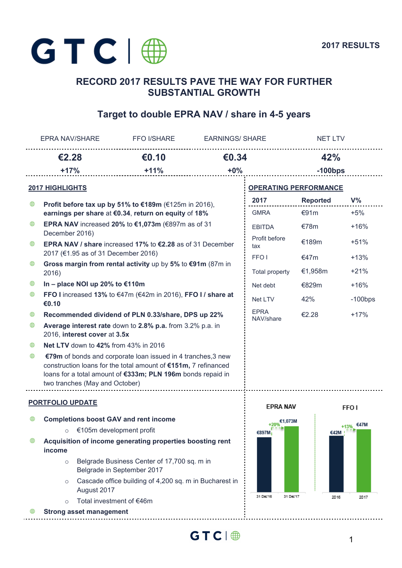

# **RECORD 2017 RESULTS PAVE THE WAY FOR FURTHER SUBSTANTIAL GROWTH**

# **Target to double EPRA NAV / share in 4-5 years**

|                         | <b>EPRA NAV/SHARE</b>                                                                                                       | <b>FFO I/SHARE</b>                                                                                                                                                                            | <b>EARNINGS/ SHARE</b>   |                              | <b>NET LTV</b>  |                  |
|-------------------------|-----------------------------------------------------------------------------------------------------------------------------|-----------------------------------------------------------------------------------------------------------------------------------------------------------------------------------------------|--------------------------|------------------------------|-----------------|------------------|
|                         | €2.28                                                                                                                       | €0.10                                                                                                                                                                                         | €0.34                    |                              | 42%             |                  |
|                         | $+17%$                                                                                                                      | $+11%$                                                                                                                                                                                        | $+0%$                    |                              | $-100$ bps      |                  |
| <b>2017 HIGHLIGHTS</b>  |                                                                                                                             |                                                                                                                                                                                               |                          | <b>OPERATING PERFORMANCE</b> |                 |                  |
| ⊕                       |                                                                                                                             | Profit before tax up by 51% to €189m (€125m in 2016),                                                                                                                                         |                          | 2017                         | <b>Reported</b> | $V\%$            |
|                         |                                                                                                                             | earnings per share at €0.34, return on equity of 18%                                                                                                                                          |                          | <b>GMRA</b>                  | €91m            | $+5%$            |
| ⊕                       | December 2016)                                                                                                              | EPRA NAV increased 20% to $€1,073m$ ( $€897m$ as of 31                                                                                                                                        |                          | <b>EBITDA</b>                | €78 $m$         | $+16%$           |
| ⊕                       | <b>EPRA NAV / share increased 17% to <math>\epsilon</math>2.28 as of 31 December</b><br>2017 (€1.95 as of 31 December 2016) |                                                                                                                                                                                               | Profit before<br>tax     | €189m                        | $+51%$          |                  |
| ⊕                       |                                                                                                                             | Gross margin from rental activity up by $5\%$ to $\text{\textsterling}91m$ (87m in                                                                                                            |                          | FFO <sub>1</sub>             | €47m            | $+13%$           |
|                         | 2016)                                                                                                                       |                                                                                                                                                                                               |                          | <b>Total property</b>        | €1,958m         | $+21%$           |
| ₩                       | In - place NOI up 20% to €110m                                                                                              |                                                                                                                                                                                               |                          | Net debt                     | €829m           | $+16%$           |
| ⊕                       | FFO I increased 13% to $€47m$ ( $€42m$ in 2016), FFO I / share at<br>€0.10                                                  |                                                                                                                                                                                               | Net LTV                  | 42%                          | $-100$ bps      |                  |
| ₩                       | Recommended dividend of PLN 0.33/share, DPS up 22%                                                                          |                                                                                                                                                                                               | <b>EPRA</b><br>NAV/share | €2.28                        | $+17%$          |                  |
| ⊕                       | Average interest rate down to 2.8% p.a. from 3.2% p.a. in<br>2016, interest cover at 3.5x                                   |                                                                                                                                                                                               |                          |                              |                 |                  |
| ₩                       | Net LTV down to 42% from 43% in 2016                                                                                        |                                                                                                                                                                                               |                          |                              |                 |                  |
| ⊕                       | two tranches (May and October)                                                                                              | €79m of bonds and corporate loan issued in 4 tranches, 3 new<br>construction loans for the total amount of €151m, 7 refinanced<br>loans for a total amount of €333m; PLN 196m bonds repaid in |                          |                              |                 |                  |
| <b>PORTFOLIO UPDATE</b> |                                                                                                                             |                                                                                                                                                                                               |                          | <b>EPRA NAV</b>              |                 | FFO <sub>1</sub> |
| ⊕                       | <b>Completions boost GAV and rent income</b>                                                                                |                                                                                                                                                                                               |                          | $+20%$                       |                 | €47M             |
|                         | $\circ$                                                                                                                     | €105m development profit                                                                                                                                                                      |                          | €897M                        | €42M            | +13%             |
| ₩                       | Acquisition of income generating properties boosting rent<br>income                                                         |                                                                                                                                                                                               |                          |                              |                 |                  |
|                         | $\circ$                                                                                                                     | Belgrade Business Center of 17,700 sq. m in<br>Belgrade in September 2017                                                                                                                     |                          |                              |                 |                  |
|                         | $\circ$<br>August 2017                                                                                                      | Cascade office building of 4,200 sq. m in Bucharest in                                                                                                                                        |                          |                              |                 |                  |
|                         | Total investment of €46m<br>$\circ$                                                                                         |                                                                                                                                                                                               |                          | 31 Dec/16<br>31 Dec/17       | 2016            | 2017             |
|                         | <b>Strong asset management</b>                                                                                              |                                                                                                                                                                                               |                          |                              |                 |                  |

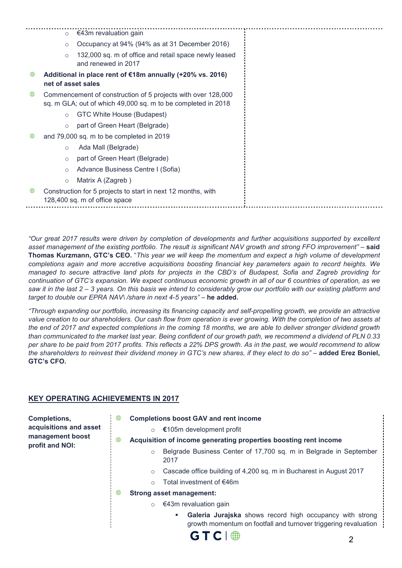|   | $\circ$            | €43m revaluation gain                                                                                                        |
|---|--------------------|------------------------------------------------------------------------------------------------------------------------------|
|   | $\circ$            | Occupancy at 94% (94% as at 31 December 2016)                                                                                |
|   | $\circ$            | 132,000 sq. m of office and retail space newly leased<br>and renewed in 2017                                                 |
| ∰ | net of asset sales | Additional in place rent of €18m annually (+20% vs. 2016)                                                                    |
| ₩ |                    | Commencement of construction of 5 projects with over 128,000<br>sq. m GLA; out of which 49,000 sq. m to be completed in 2018 |
|   | $\circ$            | GTC White House (Budapest)                                                                                                   |
|   | $\circ$            | part of Green Heart (Belgrade)                                                                                               |
| ⊕ |                    | and 79,000 sq. m to be completed in 2019                                                                                     |
|   | $\circ$            | Ada Mall (Belgrade)                                                                                                          |
|   | $\circ$            | part of Green Heart (Belgrade)                                                                                               |
|   | $\circ$            | Advance Business Centre I (Sofia)                                                                                            |
|   | $\circ$            | Matrix A (Zagreb)                                                                                                            |
| ₩ |                    | Construction for 5 projects to start in next 12 months, with<br>128,400 sq. m of office space                                |

*"Our great 2017 results were driven by completion of developments and further acquisitions supported by excellent asset management of the existing portfolio. The result is significant NAV growth and strong FFO improvement" –* **said Thomas Kurzmann, GTC's CEO.** "*This year we will keep the momentum and expect a high volume of development completions again and more accretive acquisitions boosting financial key parameters again to record heights. We managed to secure attractive land plots for projects in the CBD's of Budapest, Sofia and Zagreb providing for continuation of GTC's expansion. We expect continuous economic growth in all of our 6 countries of operation, as we saw it in the last 2 – 3 years. On this basis we intend to considerably grow our portfolio with our existing platform and target to double our EPRA NAV\/share in next 4-5 years"* – **he added.** 

*"Through expanding our portfolio, increasing its financing capacity and self-propelling growth, we provide an attractive value creation to our shareholders. Our cash flow from operation is ever growing. With the completion of two assets at the end of 2017 and expected completions in the coming 18 months, we are able to deliver stronger dividend growth than communicated to the market last year. Being confident of our growth path, we recommend a dividend of PLN 0.33 per share to be paid from 2017 profits. This reflects a 22% DPS growth. As in the past, we would recommend to allow the shareholders to reinvest their dividend money in GTC's new shares, if they elect to do so"* – **added Erez Boniel, GTC's CFO.** 

## **KEY OPERATING ACHIEVEMENTS IN 2017**

⊕

**Completions, acquisitions and asset management boost profit and NOI:** 

- $\oplus$ **Completions boost GAV and rent income** 
	- o **€**105m development profit
	- **Acquisition of income generating properties boosting rent income** 
		- o Belgrade Business Center of 17,700 sq. m in Belgrade in September 2017
		- o Cascade office building of 4,200 sq. m in Bucharest in August 2017
		- o Total investment of €46m
- $\bigoplus$ **Strong asset management:** 
	- $\circ$   $\in$  43m revaluation gain
		- **Galeria Jurajska** shows record high occupancy with strong growth momentum on footfall and turnover triggering revaluation

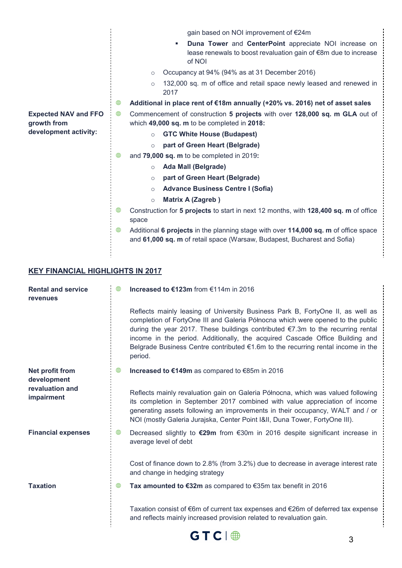|                                            | gain based on NOI improvement of €24m                                                                                                                                |
|--------------------------------------------|----------------------------------------------------------------------------------------------------------------------------------------------------------------------|
|                                            | Duna Tower and CenterPoint appreciate NOI increase on<br>lease renewals to boost revaluation gain of €8m due to increase<br>of NOI                                   |
|                                            | Occupancy at 94% (94% as at 31 December 2016)<br>$\circ$                                                                                                             |
|                                            | 132,000 sq. m of office and retail space newly leased and renewed in<br>$\circ$<br>2017                                                                              |
|                                            | ⊕<br>Additional in place rent of €18m annually (+20% vs. 2016) net of asset sales                                                                                    |
| <b>Expected NAV and FFO</b><br>growth from | ⊕<br>Commencement of construction 5 projects with over 128,000 sq. m GLA out of<br>which 49,000 sq. m to be completed in 2018:                                       |
| development activity:                      | <b>GTC White House (Budapest)</b><br>$\circ$                                                                                                                         |
|                                            | part of Green Heart (Belgrade)<br>$\circ$                                                                                                                            |
|                                            | ⊕<br>and 79,000 sq. m to be completed in 2019:                                                                                                                       |
|                                            | <b>Ada Mall (Belgrade)</b><br>$\circ$                                                                                                                                |
|                                            | part of Green Heart (Belgrade)<br>$\circ$                                                                                                                            |
|                                            | <b>Advance Business Centre I (Sofia)</b><br>$\circ$                                                                                                                  |
|                                            | <b>Matrix A (Zagreb)</b><br>$\circ$                                                                                                                                  |
|                                            | ⊕<br>Construction for 5 projects to start in next 12 months, with 128,400 sq. m of office<br>space                                                                   |
|                                            | ⊕<br>Additional 6 projects in the planning stage with over 114,000 sq. m of office space<br>and 61,000 sq. m of retail space (Warsaw, Budapest, Bucharest and Sofia) |

## **KEY FINANCIAL HIGHLIGHTS IN 2017**

| <b>Rental and service</b><br><b>revenues</b> | ⊕ | Increased to €123m from €114m in 2016                                                                                                                                                                                                                                                                                                                                                                                                         |  |
|----------------------------------------------|---|-----------------------------------------------------------------------------------------------------------------------------------------------------------------------------------------------------------------------------------------------------------------------------------------------------------------------------------------------------------------------------------------------------------------------------------------------|--|
|                                              |   | Reflects mainly leasing of University Business Park B, FortyOne II, as well as<br>completion of FortyOne III and Galeria Północna which were opened to the public<br>during the year 2017. These buildings contributed €7.3m to the recurring rental<br>income in the period. Additionally, the acquired Cascade Office Building and<br>Belgrade Business Centre contributed $\epsilon$ 1.6m to the recurring rental income in the<br>period. |  |
| Net profit from<br>development               | ⊕ | Increased to €149m as compared to €85m in 2016                                                                                                                                                                                                                                                                                                                                                                                                |  |
| revaluation and<br><b>impairment</b>         |   | Reflects mainly revaluation gain on Galeria Północna, which was valued following<br>its completion in September 2017 combined with value appreciation of income<br>generating assets following an improvements in their occupancy, WALT and / or<br>NOI (mostly Galeria Jurajska, Center Point I&II, Duna Tower, FortyOne III).                                                                                                               |  |
| <b>Financial expenses</b>                    | ⊕ | Decreased slightly to €29m from €30m in 2016 despite significant increase in<br>average level of debt                                                                                                                                                                                                                                                                                                                                         |  |
|                                              |   | Cost of finance down to 2.8% (from 3.2%) due to decrease in average interest rate<br>and change in hedging strategy                                                                                                                                                                                                                                                                                                                           |  |
| <b>Taxation</b>                              | ⊕ | Tax amounted to €32m as compared to $€35m$ tax benefit in 2016                                                                                                                                                                                                                                                                                                                                                                                |  |
|                                              |   | Taxation consist of $\epsilon$ 6m of current tax expenses and $\epsilon$ 26m of deferred tax expense<br>and reflects mainly increased provision related to revaluation gain.                                                                                                                                                                                                                                                                  |  |

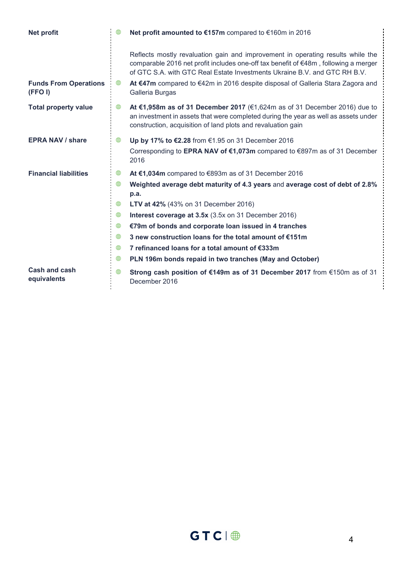| <b>Net profit</b>                      | ⊕ | Net profit amounted to €157m compared to €160m in 2016                                                                                                                                                                                              |  |
|----------------------------------------|---|-----------------------------------------------------------------------------------------------------------------------------------------------------------------------------------------------------------------------------------------------------|--|
|                                        |   | Reflects mostly revaluation gain and improvement in operating results while the<br>comparable 2016 net profit includes one-off tax benefit of €48m, following a merger<br>of GTC S.A. with GTC Real Estate Investments Ukraine B.V. and GTC RH B.V. |  |
| <b>Funds From Operations</b><br>(FFOI) | ⊕ | At €47m compared to €42m in 2016 despite disposal of Galleria Stara Zagora and<br>Galleria Burgas                                                                                                                                                   |  |
| <b>Total property value</b>            | ⊕ | At €1,958m as of 31 December 2017 (€1,624m as of 31 December 2016) due to<br>an investment in assets that were completed during the year as well as assets under<br>construction, acquisition of land plots and revaluation gain                    |  |
| <b>EPRA NAV / share</b>                | ₩ | Up by 17% to €2.28 from €1.95 on 31 December 2016                                                                                                                                                                                                   |  |
|                                        |   | Corresponding to EPRA NAV of €1,073m compared to €897m as of 31 December<br>2016                                                                                                                                                                    |  |
| <b>Financial liabilities</b>           | ⊕ | At €1,034m compared to €893m as of 31 December 2016                                                                                                                                                                                                 |  |
|                                        | ⊕ | Weighted average debt maturity of 4.3 years and average cost of debt of 2.8%<br>p.a.                                                                                                                                                                |  |
|                                        | ⊕ | LTV at 42% (43% on 31 December 2016)                                                                                                                                                                                                                |  |
|                                        | ⊕ | Interest coverage at 3.5x (3.5x on 31 December 2016)                                                                                                                                                                                                |  |
|                                        | ⊕ | €79m of bonds and corporate loan issued in 4 tranches                                                                                                                                                                                               |  |
|                                        | ⊕ | 3 new construction loans for the total amount of €151m                                                                                                                                                                                              |  |
|                                        | ⊕ | 7 refinanced loans for a total amount of €333m                                                                                                                                                                                                      |  |
|                                        | ⊕ | PLN 196m bonds repaid in two tranches (May and October)                                                                                                                                                                                             |  |
| <b>Cash and cash</b><br>equivalents    | ⊕ | Strong cash position of €149m as of 31 December 2017 from €150m as of 31<br>December 2016                                                                                                                                                           |  |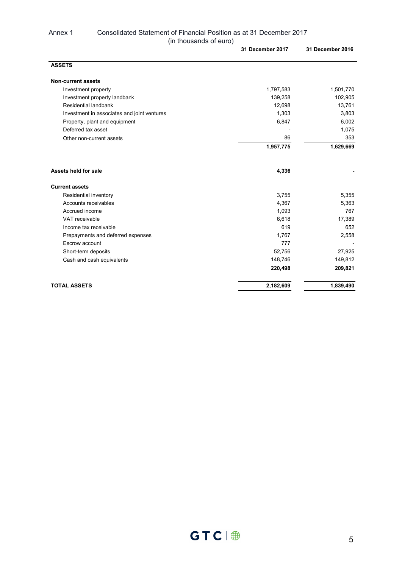### Annex 1 Consolidated Statement of Financial Position as at 31 December 2017 (in thousands of euro)

|                                             | 31 December 2017 | 31 December 2016 |
|---------------------------------------------|------------------|------------------|
| <b>ASSETS</b>                               |                  |                  |
| <b>Non-current assets</b>                   |                  |                  |
| Investment property                         | 1,797,583        | 1,501,770        |
| Investment property landbank                | 139,258          | 102,905          |
| Residential landbank                        | 12,698           | 13,761           |
| Investment in associates and joint ventures | 1,303            | 3,803            |
| Property, plant and equipment               | 6,847            | 6,002            |
| Deferred tax asset                          |                  | 1,075            |
| Other non-current assets                    | 86               | 353              |
|                                             | 1,957,775        | 1,629,669        |
| Assets held for sale                        | 4,336            |                  |
| <b>Current assets</b>                       |                  |                  |
| Residential inventory                       | 3,755            | 5,355            |
| Accounts receivables                        | 4,367            | 5,363            |
| Accrued income                              | 1,093            | 767              |
| VAT receivable                              | 6,618            | 17,389           |
| Income tax receivable                       | 619              | 652              |
| Prepayments and deferred expenses           | 1,767            | 2,558            |
| Escrow account                              | 777              |                  |
| Short-term deposits                         | 52,756           | 27,925           |
| Cash and cash equivalents                   | 148,746          | 149,812          |
|                                             | 220,498          | 209,821          |
| <b>TOTAL ASSETS</b>                         | 2,182,609        | 1,839,490        |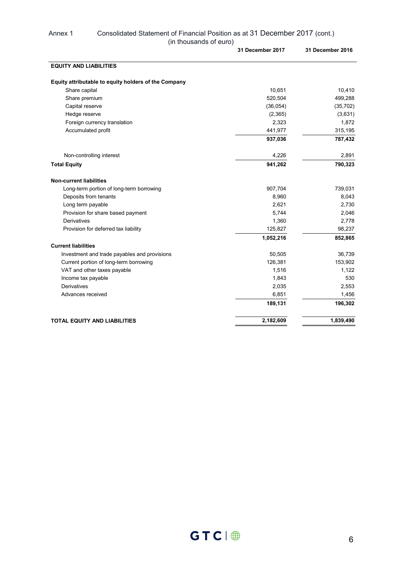|                                                      | 31 December 2017 | 31 December 2016 |
|------------------------------------------------------|------------------|------------------|
| <b>EQUITY AND LIABILITIES</b>                        |                  |                  |
| Equity attributable to equity holders of the Company |                  |                  |
| Share capital                                        | 10,651           | 10,410           |
| Share premium                                        | 520,504          | 499,288          |
| Capital reserve                                      | (36, 054)        | (35, 702)        |
| Hedge reserve                                        | (2,365)          | (3,631)          |
| Foreign currency translation                         | 2,323            | 1,872            |
| Accumulated profit                                   | 441,977          | 315,195          |
|                                                      | 937,036          | 787,432          |
| Non-controlling interest                             | 4,226            | 2,891            |
| <b>Total Equity</b>                                  | 941,262          | 790,323          |
| <b>Non-current liabilities</b>                       |                  |                  |
| Long-term portion of long-term borrowing             | 907,704          | 739,031          |
| Deposits from tenants                                | 8,960            | 8,043            |
| Long term payable                                    | 2,621            | 2,730            |
| Provision for share based payment                    | 5,744            | 2,046            |
| Derivatives                                          | 1,360            | 2,778            |
| Provision for deferred tax liability                 | 125,827          | 98,237           |
|                                                      | 1,052,216        | 852,865          |
| <b>Current liabilities</b>                           |                  |                  |
| Investment and trade payables and provisions         | 50,505           | 36,739           |
| Current portion of long-term borrowing               | 126,381          | 153,902          |
| VAT and other taxes payable                          | 1,516            | 1,122            |
| Income tax payable                                   | 1,843            | 530              |
| <b>Derivatives</b>                                   | 2,035            | 2,553            |
| Advances received                                    | 6,851            | 1,456            |
|                                                      | 189,131          | 196,302          |
| <b>TOTAL EQUITY AND LIABILITIES</b>                  | 2,182,609        | 1,839,490        |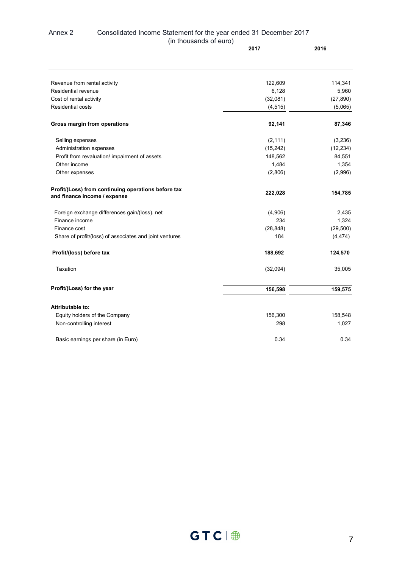#### Annex 2 Consolidated Income Statement for the year ended 31 December 2017 (in thousands of euro) **2017 2016**

| Revenue from rental activity                                                        | 122,609   | 114,341   |
|-------------------------------------------------------------------------------------|-----------|-----------|
| Residential revenue                                                                 | 6,128     | 5,960     |
| Cost of rental activity                                                             | (32,081)  | (27, 890) |
| <b>Residential costs</b>                                                            | (4, 515)  | (5,065)   |
| Gross margin from operations                                                        | 92,141    | 87,346    |
| Selling expenses                                                                    | (2, 111)  | (3, 236)  |
| Administration expenses                                                             | (15, 242) | (12, 234) |
| Profit from revaluation/ impairment of assets                                       | 148,562   | 84,551    |
| Other income                                                                        | 1,484     | 1,354     |
| Other expenses                                                                      | (2,806)   | (2,996)   |
| Profit/(Loss) from continuing operations before tax<br>and finance income / expense | 222,028   | 154,785   |
| Foreign exchange differences gain/(loss), net                                       | (4,906)   | 2,435     |
| Finance income                                                                      | 234       | 1,324     |
| Finance cost                                                                        | (28, 848) | (29, 500) |
| Share of profit/(loss) of associates and joint ventures                             | 184       | (4, 474)  |
| Profit/(loss) before tax                                                            | 188,692   | 124,570   |
| Taxation                                                                            | (32,094)  | 35,005    |
| Profit/(Loss) for the year                                                          | 156,598   | 159,575   |
| <b>Attributable to:</b>                                                             |           |           |
| Equity holders of the Company                                                       | 156,300   | 158,548   |
| Non-controlling interest                                                            | 298       | 1,027     |
|                                                                                     |           |           |
| Basic earnings per share (in Euro)                                                  | 0.34      | 0.34      |

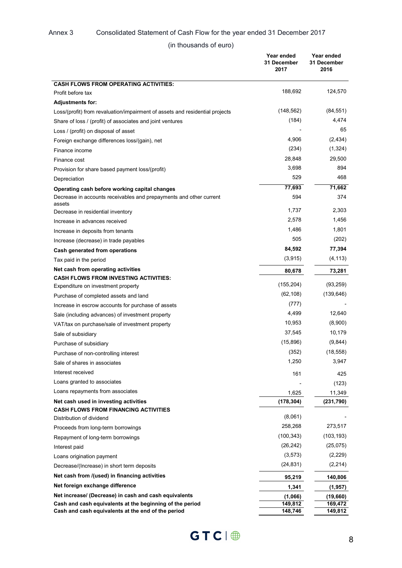### Annex 3 Consolidated Statement of Cash Flow for the year ended 31 December 2017

(in thousands of euro)

|                                                                                    | Year ended<br>31 December<br>2017 | Year ended<br>31 December<br>2016 |
|------------------------------------------------------------------------------------|-----------------------------------|-----------------------------------|
| <b>CASH FLOWS FROM OPERATING ACTIVITIES:</b>                                       |                                   |                                   |
| Profit before tax                                                                  | 188,692                           | 124,570                           |
| <b>Adjustments for:</b>                                                            |                                   |                                   |
| Loss/(profit) from revaluation/impairment of assets and residential projects       | (148, 562)                        | (84, 551)                         |
| Share of loss / (profit) of associates and joint ventures                          | (184)                             | 4,474                             |
| Loss / (profit) on disposal of asset                                               |                                   | 65                                |
| Foreign exchange differences loss/(gain), net                                      | 4,906                             | (2, 434)                          |
| Finance income                                                                     | (234)                             | (1, 324)                          |
| Finance cost                                                                       | 28,848                            | 29,500                            |
| Provision for share based payment loss/(profit)                                    | 3,698                             | 894                               |
| Depreciation                                                                       | 529                               | 468                               |
| Operating cash before working capital changes                                      | 77,693                            | 71,662                            |
| Decrease in accounts receivables and prepayments and other current<br>assets       | 594                               | 374                               |
| Decrease in residential inventory                                                  | 1,737                             | 2.303                             |
| Increase in advances received                                                      | 2,578                             | 1,456                             |
| Increase in deposits from tenants                                                  | 1,486                             | 1,801                             |
| Increase (decrease) in trade payables                                              | 505                               | (202)                             |
| Cash generated from operations                                                     | 84,592                            | 77,394                            |
| Tax paid in the period                                                             | (3,915)                           | (4, 113)                          |
| Net cash from operating activities<br><b>CASH FLOWS FROM INVESTING ACTIVITIES:</b> | 80,678                            | 73,281                            |
| Expenditure on investment property                                                 | (155, 204)                        | (93, 259)                         |
| Purchase of completed assets and land                                              | (62, 108)                         | (139, 646)                        |
| Increase in escrow accounts for purchase of assets                                 | (777)                             |                                   |
| Sale (including advances) of investment property                                   | 4,499                             | 12,640                            |
| VAT/tax on purchase/sale of investment property                                    | 10,953                            | (8,900)                           |
| Sale of subsidiary                                                                 | 37,545                            | 10,179                            |
| Purchase of subsidiary                                                             | (15,896)                          | (9,844)                           |
| Purchase of non-controlling interest                                               | (352)                             | (18, 558)                         |
| Sale of shares in associates                                                       | 1,250                             | 3,947                             |
| Interest received                                                                  | 161                               | 425                               |
| Loans granted to associates                                                        |                                   | (123)                             |
| Loans repayments from associates                                                   | 1,625                             | 11,349                            |
| Net cash used in investing activities                                              | (178, 304)                        | (231,790)                         |
| <b>CASH FLOWS FROM FINANCING ACTIVITIES</b>                                        |                                   |                                   |
| Distribution of dividend                                                           | (8,061)                           |                                   |
| Proceeds from long-term borrowings                                                 | 258,268                           | 273,517                           |
| Repayment of long-term borrowings                                                  | (100, 343)                        | (103, 193)                        |
| Interest paid                                                                      | (26, 242)                         | (25,075)                          |
| Loans origination payment                                                          | (3, 573)                          | (2,229)                           |
| Decrease/(Increase) in short term deposits                                         | (24,831)                          | (2,214)                           |
| Net cash from /(used) in financing activities                                      | 95,219                            | 140,806                           |
| Net foreign exchange difference                                                    | 1,341                             | (1,957)                           |
| Net increase/ (Decrease) in cash and cash equivalents                              | (1,066)                           | (19, 660)                         |
| Cash and cash equivalents at the beginning of the period                           | 149,812                           | 169,472                           |
| Cash and cash equivalents at the end of the period                                 | 148,746                           | 149,812                           |

 $GTC \parallel \bigoplus$  8